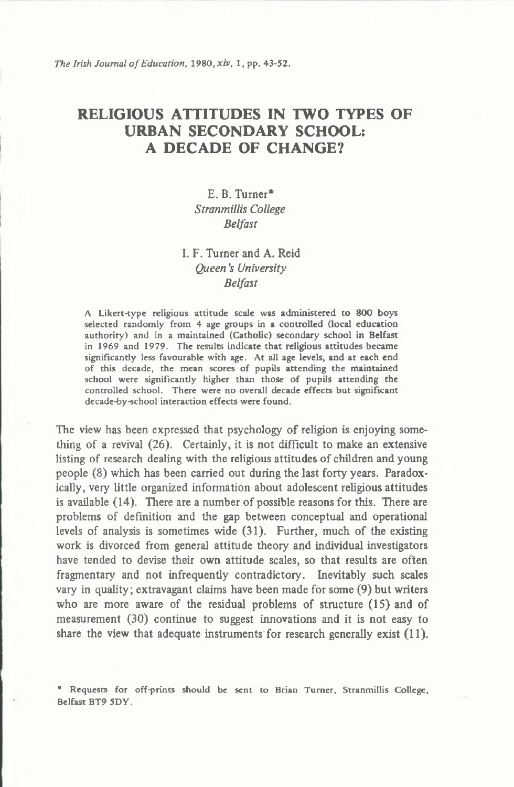*The Irish Journal of Education, 1980, xiv, 1, pp. 43-52.* 

# **RELIGIOUS ATTITUDES IN TWO TYPES OF URBAN SECONDARY SCHOOL: A DECADE OF CHANGE?**

## **E. B. Turner\*** *Stranmillis College Belfast*

## **I. F. Turner and A. Reid** *Queen's University Belfast*

A Likert-type religious attitude scale was administered to 800 boys selected randomly from 4 age groups in a controlled (local education authority) and in a maintained (Catholic) secondary school in Belfast in 1969 and 1979. The results indicate that religious attitudes became significantly less favourable with age. At all age levels, and at each end of this decade, the mean scores of pupils attending the maintained school were significantly higher than those of pupils attending the controlled school. There were no overall decade effects but significant decade-by-school interaction effects were found.

**The view has been expressed that psychology of religion is enjoying something of a revival (26). Certainly, it is not difficult to make an extensive listing of research dealing with the religious attitudes of children and young people (8) which has been carried out during the last forty years. Paradoxically, very little organized information about adolescent religious attitudes is available (14). There are a number of possible reasons for this. There are problems of definition and the gap between conceptual and operational levels of analysis is sometimes wide (31). Further, much of the existing work is divorced from general attitude theory and individual investigators have tended to devise their own attitude scales, so that results are often fragmentary and not infrequently contradictory. Inevitably such scales vary in quality; extravagant claims have been made for some (9) but writers who are more aware of the residual problems of structure (15) and of measurement (30) continue to suggest innovations and it is not easy to share the view that adequate instruments for research generally exist (11).**

• Requests for off-prints should be sent to Brian Turner, Stranmillis College, Belfast BT9 5DY.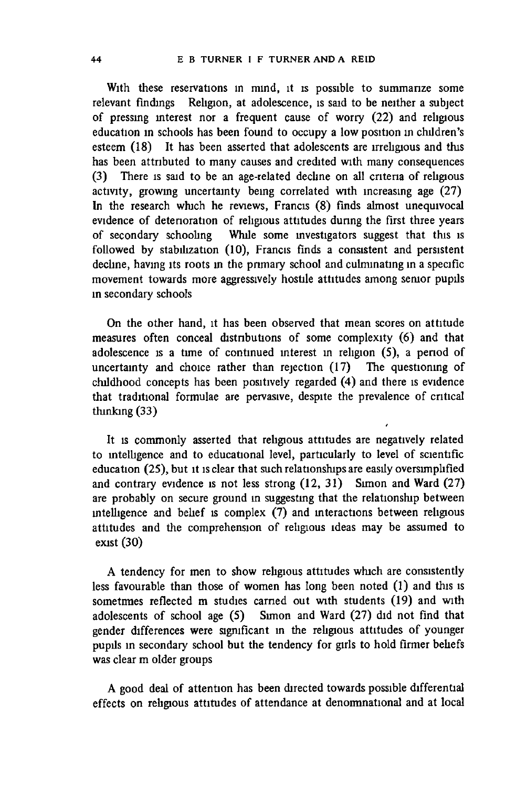**With these reservations in mind, it is possible to summarize some relevant findings Religion, at adolescence, is said to be neither a subject of pressing mterest nor a frequent cause of worry (22) and religious education in schools has been found to occupy a low position in children's esteem (18) It has been asserted that adolescents are irreligious and this has been attributed to many causes and credited with many consequences (3) There is said to be an age-related decline on all criteria of religious activity, growing uncertainty bemg correlated with increasing age (27) In the research which he reviews, Francis (8) finds almost unequivocal evidence of deterioration of religious attitudes during the first three years of secondary schooling While some investigators suggest that this is followed by stabilization (10), Francis finds a consistent and persistent decline, having its roots in the primary school and culminating in a specific movement towards more aggressively hostile attitudes among semor pupils in secondary schools**

**On the other hand, it has been observed that mean scores on attitude measures often conceal distributions of some complexity (6) and that adolescence is a time of continued mterest in religion (5), a period of uncertainty and choice rather than rejection (17) The questioning of childhood concepts has been positively regarded (4) and there is evidence that traditional formulae are pervasive, despite the prevalence of critical thinking (33)**

**It is commonly asserted that religious attitudes are negatively related to intelligence and to educational level, particularly to level of scientific education (25), but it is clear that such relationships are easily oversimplified and contrary evidence is not less strong (12, 31) Simon and Ward (27) are probably on secure ground m suggesting that the relationship between intelligence and belief is complex (7) and interactions between religious attitudes and the comprehension of religious ideas may be assumed to exist (30)**

**A tendency for men to show religious attitudes which are consistently less favourable than those of women has long been noted (1) and this is sometimes reflected m studies earned out with students (19) and with adolescents of school age (5) Simon and Ward (27) did not find that gender differences were significant m the religious attitudes of younger pupils in secondary school but the tendency for girls to hold firmer beliefs was clear m older groups**

**A good deal of attention has been directed towards possible differential effects on religious attitudes of attendance at denominational and at local**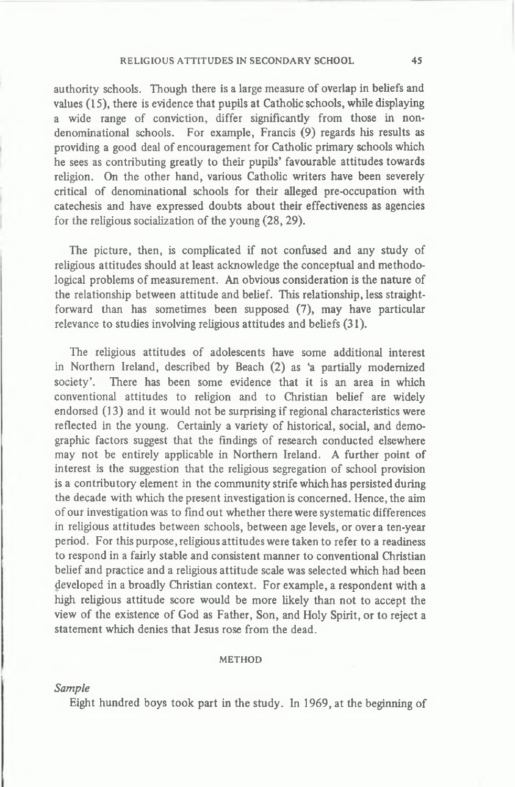#### RELIGIOUS ATTITUDES IN SECONDARY SCHOOL 45

**authority schools. Though there is a large measure of overlap in beliefs and values (15), there is evidence that pupils at Catholic schools, while displaying a wide range of conviction, differ significantly from those in nondenominational schools. For example, Francis (9) regards his results as providing a good deal of encouragement for Catholic primary schools which he sees as contributing greatly to their pupils' favourable attitudes towards religion. On the other hand, various Catholic writers have been severely critical of denominational schools for their alleged pre-occupation with catechesis and have expressed doubts about their effectiveness as agencies for the religious socialization of the young (28,29).**

**The picture, then, is complicated if not confused and any study of religious attitudes should at least acknowledge the conceptual and methodological problems of measurement. An obvious consideration is the nature of the relationship between attitude and belief. This relationship, less straightforward than has sometimes been supposed (7), may have particular relevance to studies involving religious attitudes and beliefs (31).**

**The religious attitudes of adolescents have some additional interest in Northern Ireland, described by Beach (2) as 'a partially modernized society'. There has been some evidence that it is an area in which conventional attitudes to religion and to Christian belief are widely endorsed (13) and it would not be surprising if regional characteristics were reflected in the young. Certainly a variety of historical, social, and demographic factors suggest that the findings of research conducted elsewhere may not be entirely applicable in Northern Ireland. A further point of interest is the suggestion that the religious segregation of school provision is a contributory element in the community strife which has persisted during the decade with which the present investigation is concerned. Hence, the aim of our investigation was to find out whether there were systematic differences in religious attitudes between schools, between age levels, or over a ten-year period. For this purpose, religious attitudes were taken to refer to a readiness to respond in a fairly stable and consistent manner to conventional Christian belief and practice and a religious attitude scale was selected which had been developed in a broadly Christian context. For example, a respondent with a high religious attitude score would be more likely than not to accept the view of the existence of God as Father, Son, and Holy Spirit, or to reject a statement which denies that Jesus rose from the dead.**

#### **METHOD**

#### *Sample*

**Eight hundred boys took part in the study. In 1969, at the beginning of**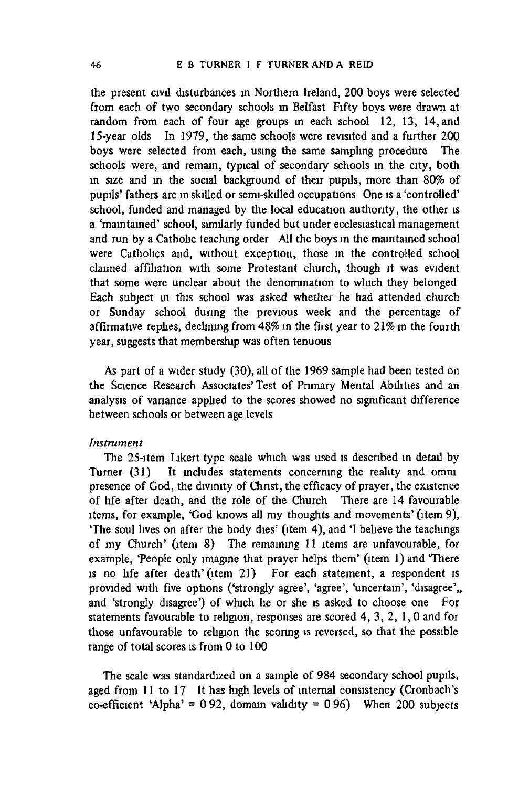**the present civil disturbances in Northern Ireland, 200 boys were selected from each of two secondary schools in Belfast Fifty boys were drawn at random from each of four age groups in each school 12, 13, 14, and 15-year olds In 1979, the same schools were revisited and a further 200 boys were selected from each, using the same sampling procedure The schools were, and remain, typical of secondary schools in the city, both in size and m the social background of their pupils, more than 80% of pupils' fathers are m skilled or semi-skilled occupations One is a 'controlled' school, funded and managed by the local education authority, the other is a 'maintained' school, similarly funded but under ecclesiastical management and run by a Catholic teaching order All the boys in the maintained school were Catholics and, without exception, those in the controlled school claimed affiliation with some Protestant church, though it was evident that some were unclear about the denomination to which they belonged Each subject in this school was asked whether he had attended church or Sunday school dunng the previous week and the percentage of affirmative replies, declining from 48% in the first year to 21% m the fourth year, suggests that membership was often tenuous**

**As part of a wider study (30), all of the 1969 sample had been tested on the Science Research Associates' Test of Primary Mental Abilities and an analysis of variance applied to the scores showed no significant difference between schools or between age levels**

### *Instrument*

**The 25-item Likert type scale which was used is descnbed m detail by Turner (31) It includes statements concemmg the reality and omni presence of God, the divinity of Christ, the efficacy of prayer, the existence of hfe after death, and the role of the Church There are 14 favourable items, for example, 'God knows all my thoughts and movements' (item 9), 'The soul lives on after the body dies' (item 4), and 'I believe the teachings of my Church' (item 8) The remaining 11 items are unfavourable, for** example, 'People only imagine that prayer helps them' (item 1) and 'There **is no hfe after death' (item 21) For each statement, a respondent is provided with five options ('strongly agree', 'agree', 'uncertain', 'disagree',, and 'strongly disagree') of which he or she is asked to choose one For statements favourable to religion, responses are scored 4, 3, 2, 1,0 and for those unfavourable to religion the scoring is reversed, so that the possible range of total scores is from 0 to 100**

**The scale was standardized on a sample of 984 secondary school pupils, aged from 11 to 17 It has high levels of internal consistency (Cronbach's co-efficient 'Alpha' = 0 92, domam validity = 0 96) When 200 subjects**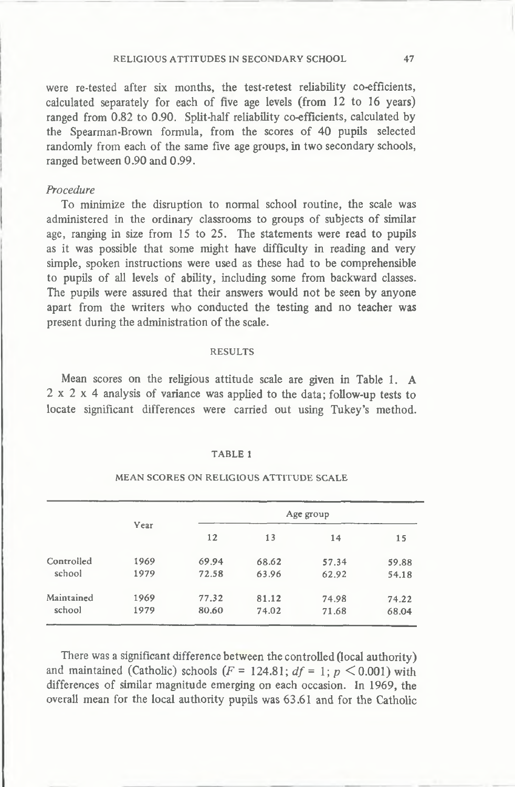**were re-tested after six months, the test-retest reliability co-efficients, calculated separately for each of five age levels (from 12 to 16 years) ranged from 0.82 to 0.90. Split-half reliability co-efficients, calculated by the Spearman-Brown formula, from the scores of 40 pupils selected randomly from each of the same five age groups, in two secondary schools, ranged between 0.90 and 0.99.**

## *Procedure*

**To minimize the disruption to normal school routine, the scale was administered in the ordinary classrooms to groups of subjects of similar age, ranging in size from 15 to 25. The statements were read to pupils as it was possible that some might have difficulty in reading and very simple, spoken instructions were used as these had to be comprehensible to pupils of all levels of ability, including some from backward classes. The pupils were assured that their answers would not be seen by anyone apart from the writers who conducted the testing and no teacher was present during the administration of the scale.**

#### RESULTS

**Mean scores on the religious attitude scale are given in Table 1. A 2x2x4 analysis of variance was applied to the data; follow-up tests to locate significant differences were carried out using Tukey's method.**

#### TABLE 1

|            | Year | Age group |       |       |       |
|------------|------|-----------|-------|-------|-------|
|            |      | 12        | 13    | 14    | 15    |
| Controlled | 1969 | 69.94     | 68.62 | 57.34 | 59.88 |
| school     | 1979 | 72.58     | 63.96 | 62.92 | 54.18 |
| Maintained | 1969 | 77.32     | 81.12 | 74.98 | 74.22 |
| school     | 1979 | 80.60     | 74.02 | 71.68 | 68.04 |

### MEAN SCORES ON RELIGIOUS ATTITUDE SCALE

**There was a significant difference between the controlled (local authority)** and maintained (Catholic) schools  $(F = 124.81; df = 1; p \le 0.001)$  with **differences of similar magnitude emerging on each occasion. In 1969, the overall mean for the local authority pupils was 63.61 and for the Catholic**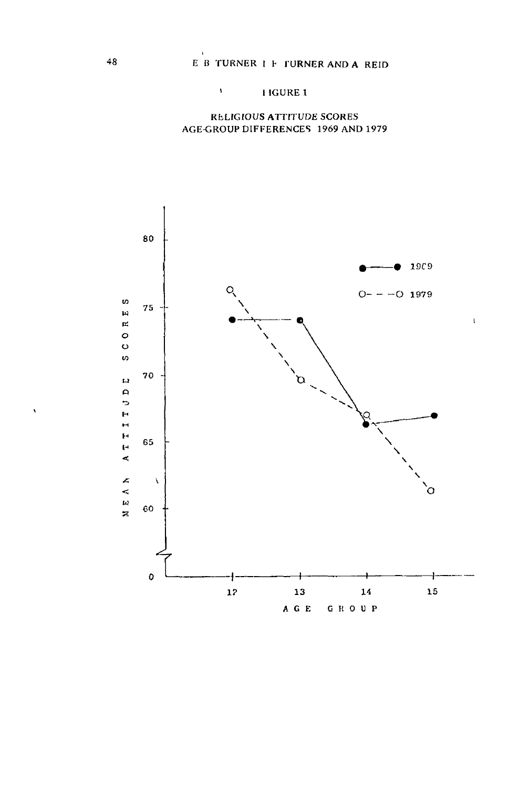## ' I IGURE 1

## RELIGIOUS ATTITUDE SCORES AGE-GROUP DIFFERENCES 1969 AND 1979



 $\overline{\mathbf{r}}$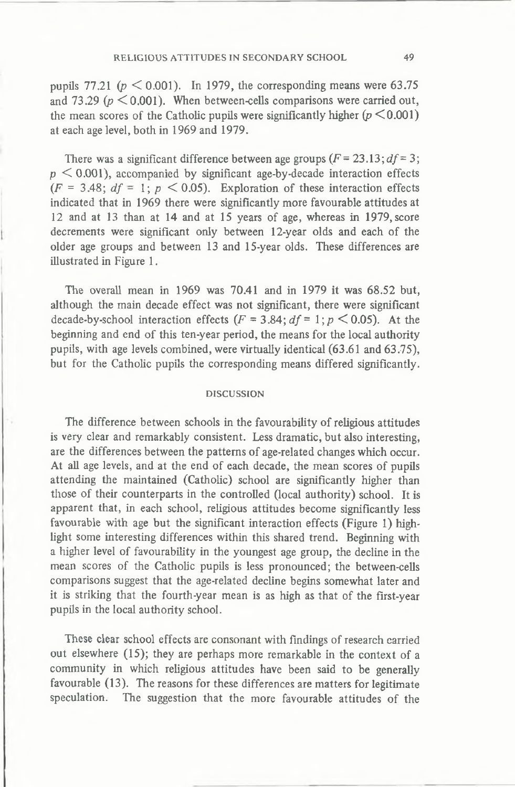pupils 77.21 ( $p \le 0.001$ ). In 1979, the corresponding means were 63.75 and 73.29  $(p \le 0.001)$ . When between-cells comparisons were carried out, the mean scores of the Catholic pupils were significantly higher  $(p \leq 0.001)$ **at each age level, both in 1969 and 1979.**

There was a significant difference between age groups  $(F = 23.13; df = 3;$ **p < 0.001), accompanied by significant age-by-decade interaction effects**  $(F = 3.48; df = 1; p \le 0.05)$ . Exploration of these interaction effects **indicated that in 1969 there were significantly more favourable attitudes at 12 and at 13 than at 14 and at 15 years of age, whereas in 1979, score decrements were significant only between 12-year olds and each of the older age groups and between 13 and 15-year olds. These differences are illustrated in Figure 1.**

**The overall mean in 1969 was 70.41 and in 1979 it was 68.52 but, although the main decade effect was not significant, there were significant** decade-by-school interaction effects  $(F = 3.84; df = 1; p \le 0.05)$ . At the **beginning and end of this ten-year period, the means for the local authority pupils, with age levels combined, were virtually identical (63.61 and 63.75), but for the Catholic pupils the corresponding means differed significantly.**

#### DISCUSSION

**The difference between schools in the favourability of religious attitudes is very clear and remarkably consistent. Less dramatic, but also interesting, are the differences between the patterns of age-related changes which occur. At all age levels, and at the end of each decade, the mean scores of pupils attending the maintained (Catholic) school are significantly higher than those of their counterparts in the controlled (local authority) school. It is apparent that, in each school, religious attitudes become significantly less favourable with age but the significant interaction effects (Figure 1) highlight some interesting differences within this shared trend. Beginning with a higher level of favourability in the youngest age group, the decline in the mean scores of the Catholic pupils is less pronounced; the between-cells comparisons suggest that the age-related decline begins somewhat later and it is striking that the fourth-year mean is as high as that of the first-year pupils in the local authority school.**

**These clear school effects are consonant with findings of research carried out elsewhere (15); they are perhaps more remarkable in the context of a community in which religious attitudes have been said to be generally favourable (13). The reasons for these differences are matters for legitimate speculation. The suggestion that the more favourable attitudes of the**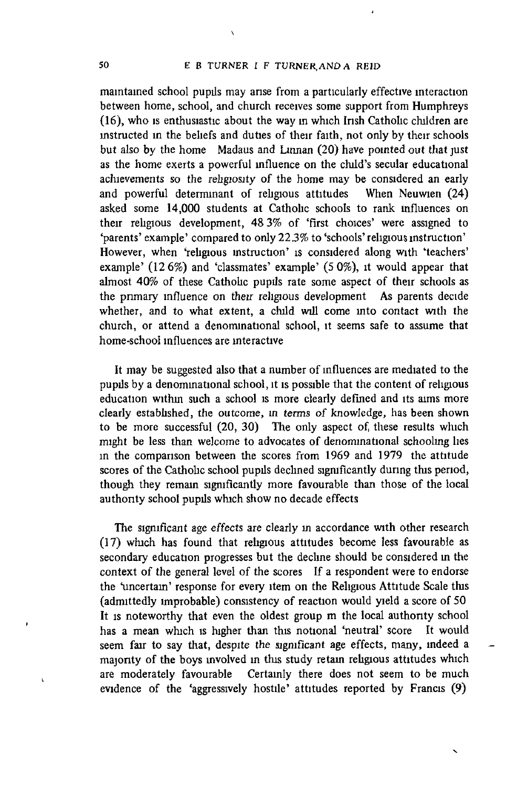$\lambda$ 

**maintained school pupils may arise from a particularly effective interaction between home, school, and church receives some support from Humphreys (16), who is enthusiastic about the way m which Irish Catholic children are instructed in the beliefs and duties of their faith, not only by their schools but also by the home Madaus and Linnan (20) have pointed out that just as the home exerts a powerful influence on the child's secular educational achievements so the religiosity of the home may be considered an early and powerful determinant of religious attitudes When Neuwien (24) asked some 14,000 students at Catholic schools to rank influences on their religious development, 48 3% of 'first choices' were assigned to 'parents' example' compared to only 223% to 'schools' religious instruction' However, when 'religious instruction' is considered along with 'teachers' example' (12 6%) and 'classmates' example' (5 0%), it would appear that almost 40% of these Catholic pupils rate some aspect of their schools as the primary influence on their religious development As parents decide whether, and to what extent, a child will come mto contact with the church, or attend a denominational school, it seems safe to assume that home-school influences are interactive**

**It may be suggested also that a number of influences are mediated to the pupils by a denominational school, it is possible that the content of religious education within such a school is more clearly defined and its aims more clearly established, the outcome, in terms of knowledge, has been shown** to be more successful (20, 30) The only aspect of these results which **might be less than welcome to advocates of denominational schooling lies in the comparison between the scores from 1969 and 1979 the attitude scores of the Catholic school pupils declined significantly during this period, though they remain significantly more favourable than those of the local authority school pupils which show no decade effects**

**The significant age effects are clearly in accordance with other research (17) which has found that religious attitudes become less favourable as secondary education progresses but the decline should be considered in the context of the general level of the scores If a respondent were to endorse the "uncertain' response for every item on the Religious Attitude Scale this (admittedly improbable) consistency of reaction would yield a score of 50 It is noteworthy that even the oldest group m the local authority school has a mean which is higher than this notional 'neutral' score It would seem fair to say that, despite the significant age effects, many, indeed a majonty of the boys mvolved in this study retain rehgious attitudes which are moderately favourable Certainly there does not seem to be much evidence of the 'aggressively hostile' attitudes reported by Francis (9)**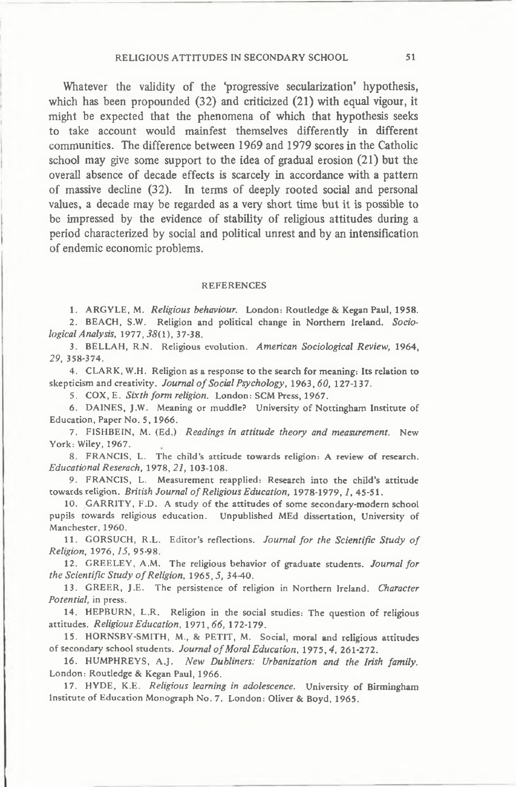### RELIGIOUS ATTITUDES IN SECONDARY SCHOOL 51

**Whatever the validity of the 'progressive secularization' hypothesis, which has been propounded (32) and criticized (21) with equal vigour, it might be expected that the phenomena of which that hypothesis seeks to take account would mainfest themselves differently in different communities. The difference between 1969 and 1979 scores in the Catholic school may give some support to the idea of gradual erosion (21) but the overall absence of decade effects is scarcely in accordance with a pattern of massive decline (32). In terms of deeply rooted social and personal values, a decade may be regarded as a very short time but it is possible to be impressed by the evidence of stability of religious attitudes during a period characterized by social and political unrest and by an intensification of endemic economic problems.**

#### REFERENCES

1. ARGYLE, M. *Religious behaviour.* London: Routledge & Kegan Paul, 1958. 2. BEACH, S.W. Religion and political change in Northern Ireland. *Sociological Analysis, 1977,38(1),* 37-38.

3. BELLAH, R.N. Religious evolution. *American Sociological Review,* 1964, *29,* 358-374.

4. CLARK, W.H. Religion as a response to the search for meaning: Its relation to skepticism and creativity. *Journal o f Social Psychology,* 1963*,60,* 127-137.

5. COX, E. *Sixth form religion.* London: SCM Press, 1967.

6. DAINES, J.W. Meaning or muddle? University of Nottingham Institute of Education, Paper No. 5, 1966.

7. FISHBEIN, M. (Ed.) *Readings in attitude theory and measurement.* New York: Wiley, 1967.

8. FRANCIS, L. The child's attitude towards religion: A review of research. *Educational Reserach,* 1978*,21,* 103-108.

9. FRANCIS, L. Measurement reapplied: Research into the child's attitude towards religion. British Journal of Religious Education, 1978-1979, 1, 45-51.

10. GARRITY, F.D. A study of the attitudes of some secondary-modern school pupils towards religious education. Unpublished MEd dissertation, University of Manchester, 1960.

11. GORSUCH, R.L. Editor's reflections. *Journal for the Scientific Study of Religion,* 1976,*15,* 95-98.

12. GREELEY, A.M. The religious behavior of graduate students. *Journal for the Scientific Study o f Religion,* 1965,5, 34-40.

13. GREER, J.E. The persistence of religion in Northern Ireland. *Character Potential,* in press.

14. HEPBURN, L.R. Religion in the social studies: The question of religious attitudes. *Religious Education,* 1971*,66,* 172-179.

15. HORNSBY-SMITH, M., & PETIT, M. Social, moral and religious attitudes of secondary school students. Journal of Moral Education, 1975, 4, 261-272.

16. HUMPHREYS, A.J. *New Dubliners: Urbanization and the Irish family.* London: Routledge & Kegan Paul, 1966.

17. HYDE, K.E. *Religious learning in adolescence.* University of Birmingham Institute of Education Monograph No. 7. London: Oliver & Boyd, 1965.